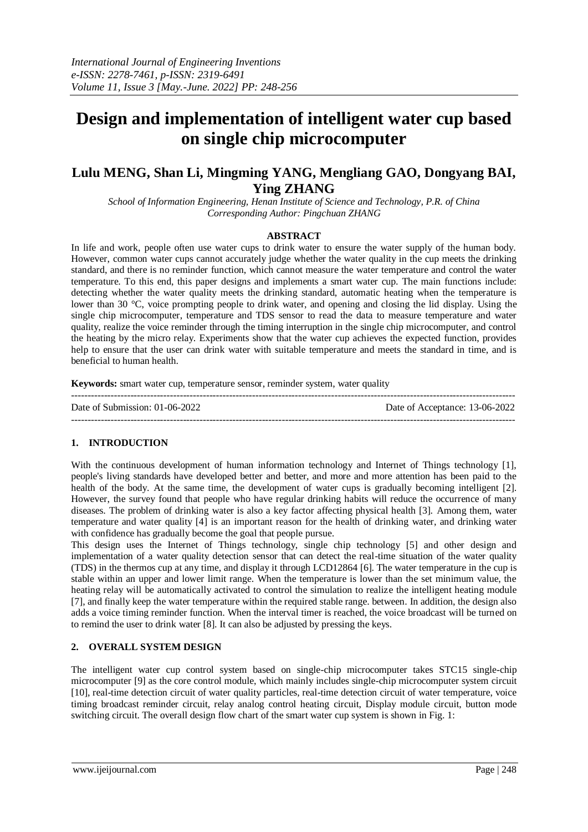# **Design and implementation of intelligent water cup based on single chip microcomputer**

# **Lulu MENG, Shan Li, Mingming YANG, Mengliang GAO, Dongyang BAI, Ying ZHANG**

*School of Information Engineering, Henan Institute of Science and Technology, P.R. of China Corresponding Author: Pingchuan ZHANG*

#### **ABSTRACT**

In life and work, people often use water cups to drink water to ensure the water supply of the human body. However, common water cups cannot accurately judge whether the water quality in the cup meets the drinking standard, and there is no reminder function, which cannot measure the water temperature and control the water temperature. To this end, this paper designs and implements a smart water cup. The main functions include: detecting whether the water quality meets the drinking standard, automatic heating when the temperature is lower than 30 °C, voice prompting people to drink water, and opening and closing the lid display. Using the single chip microcomputer, temperature and TDS sensor to read the data to measure temperature and water quality, realize the voice reminder through the timing interruption in the single chip microcomputer, and control the heating by the micro relay. Experiments show that the water cup achieves the expected function, provides help to ensure that the user can drink water with suitable temperature and meets the standard in time, and is beneficial to human health.

**Keywords:** smart water cup, temperature sensor, reminder system, water quality

| Date of Submission: $01-06-2022$ | Date of Acceptance: 13-06-2022 |
|----------------------------------|--------------------------------|
|                                  |                                |

# **1. INTRODUCTION**

With the continuous development of human information technology and Internet of Things technology [1], people's living standards have developed better and better, and more and more attention has been paid to the health of the body. At the same time, the development of water cups is gradually becoming intelligent [2]. However, the survey found that people who have regular drinking habits will reduce the occurrence of many diseases. The problem of drinking water is also a key factor affecting physical health [3]. Among them, water temperature and water quality [4] is an important reason for the health of drinking water, and drinking water with confidence has gradually become the goal that people pursue.

This design uses the Internet of Things technology, single chip technology [5] and other design and implementation of a water quality detection sensor that can detect the real-time situation of the water quality (TDS) in the thermos cup at any time, and display it through LCD12864 [6]. The water temperature in the cup is stable within an upper and lower limit range. When the temperature is lower than the set minimum value, the heating relay will be automatically activated to control the simulation to realize the intelligent heating module [7], and finally keep the water temperature within the required stable range. between. In addition, the design also adds a voice timing reminder function. When the interval timer is reached, the voice broadcast will be turned on to remind the user to drink water [8]. It can also be adjusted by pressing the keys.

# **2. OVERALL SYSTEM DESIGN**

The intelligent water cup control system based on single-chip microcomputer takes STC15 single-chip microcomputer [9] as the core control module, which mainly includes single-chip microcomputer system circuit [10], real-time detection circuit of water quality particles, real-time detection circuit of water temperature, voice timing broadcast reminder circuit, relay analog control heating circuit, Display module circuit, button mode switching circuit. The overall design flow chart of the smart water cup system is shown in Fig. 1: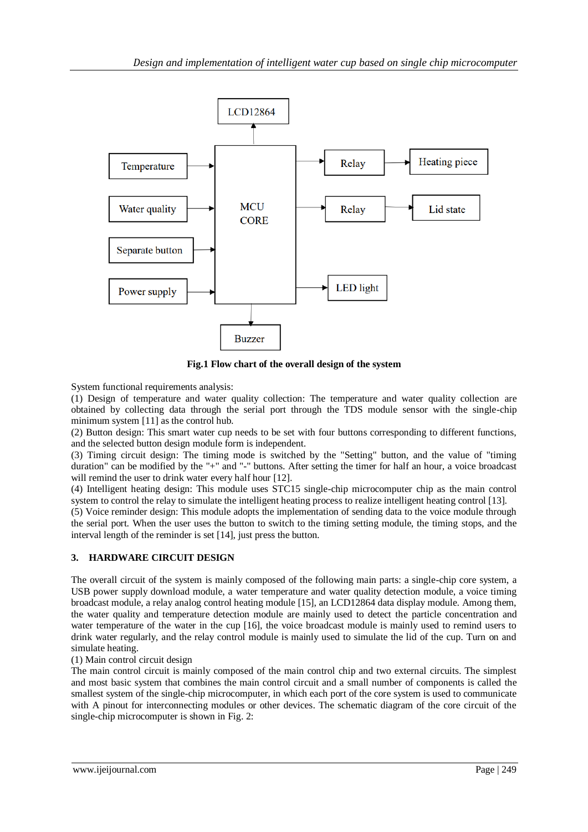

**Fig.1 Flow chart of the overall design of the system**

System functional requirements analysis:

(1) Design of temperature and water quality collection: The temperature and water quality collection are obtained by collecting data through the serial port through the TDS module sensor with the single-chip minimum system [11] as the control hub.

(2) Button design: This smart water cup needs to be set with four buttons corresponding to different functions, and the selected button design module form is independent.

(3) Timing circuit design: The timing mode is switched by the "Setting" button, and the value of "timing duration" can be modified by the "+" and "-" buttons. After setting the timer for half an hour, a voice broadcast will remind the user to drink water every half hour [12].

(4) Intelligent heating design: This module uses STC15 single-chip microcomputer chip as the main control system to control the relay to simulate the intelligent heating process to realize intelligent heating control [13].

(5) Voice reminder design: This module adopts the implementation of sending data to the voice module through the serial port. When the user uses the button to switch to the timing setting module, the timing stops, and the interval length of the reminder is set [14], just press the button.

# **3. HARDWARE CIRCUIT DESIGN**

The overall circuit of the system is mainly composed of the following main parts: a single-chip core system, a USB power supply download module, a water temperature and water quality detection module, a voice timing broadcast module, a relay analog control heating module [15], an LCD12864 data display module. Among them, the water quality and temperature detection module are mainly used to detect the particle concentration and water temperature of the water in the cup [16], the voice broadcast module is mainly used to remind users to drink water regularly, and the relay control module is mainly used to simulate the lid of the cup. Turn on and simulate heating.

(1) Main control circuit design

The main control circuit is mainly composed of the main control chip and two external circuits. The simplest and most basic system that combines the main control circuit and a small number of components is called the smallest system of the single-chip microcomputer, in which each port of the core system is used to communicate with A pinout for interconnecting modules or other devices. The schematic diagram of the core circuit of the single-chip microcomputer is shown in Fig. 2: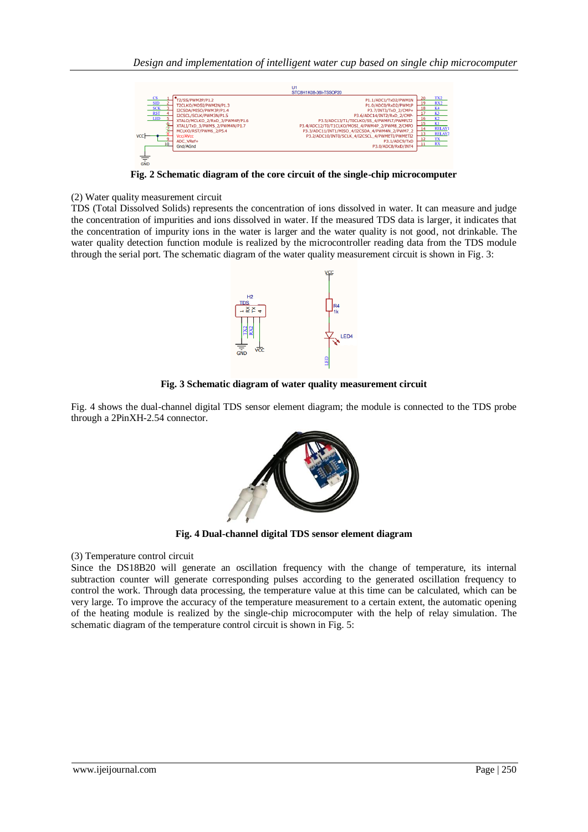

**Fig. 2 Schematic diagram of the core circuit of the single-chip microcomputer**

(2) Water quality measurement circuit

TDS (Total Dissolved Solids) represents the concentration of ions dissolved in water. It can measure and judge the concentration of impurities and ions dissolved in water. If the measured TDS data is larger, it indicates that the concentration of impurity ions in the water is larger and the water quality is not good, not drinkable. The water quality detection function module is realized by the microcontroller reading data from the TDS module through the serial port. The schematic diagram of the water quality measurement circuit is shown in Fig. 3:



**Fig. 3 Schematic diagram of water quality measurement circuit**

Fig. 4 shows the dual-channel digital TDS sensor element diagram; the module is connected to the TDS probe through a 2PinXH-2.54 connector.



**Fig. 4 Dual-channel digital TDS sensor element diagram**

(3) Temperature control circuit

Since the DS18B20 will generate an oscillation frequency with the change of temperature, its internal subtraction counter will generate corresponding pulses according to the generated oscillation frequency to control the work. Through data processing, the temperature value at this time can be calculated, which can be very large. To improve the accuracy of the temperature measurement to a certain extent, the automatic opening of the heating module is realized by the single-chip microcomputer with the help of relay simulation. The schematic diagram of the temperature control circuit is shown in Fig. 5: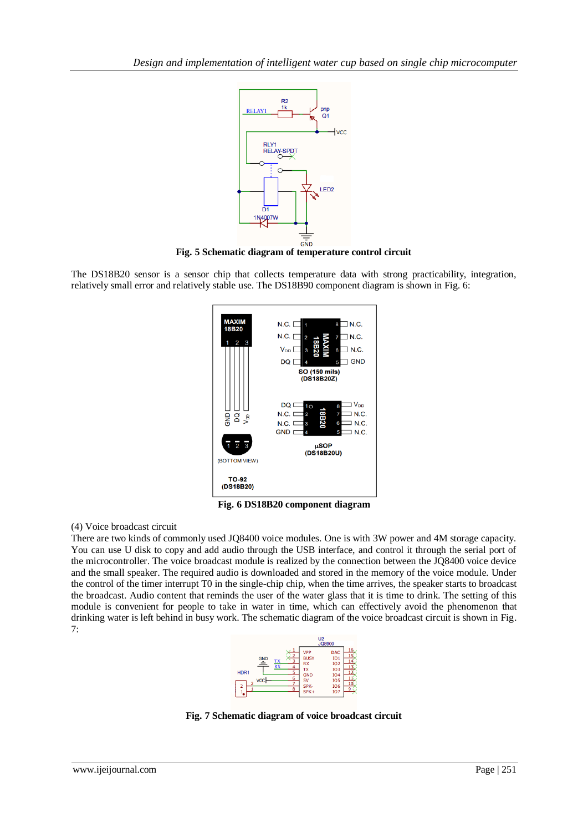

**Fig. 5 Schematic diagram of temperature control circuit**

The DS18B20 sensor is a sensor chip that collects temperature data with strong practicability, integration, relatively small error and relatively stable use. The DS18B90 component diagram is shown in Fig. 6:



**Fig. 6 DS18B20 component diagram**

# (4) Voice broadcast circuit

There are two kinds of commonly used JQ8400 voice modules. One is with 3W power and 4M storage capacity. You can use U disk to copy and add audio through the USB interface, and control it through the serial port of the microcontroller. The voice broadcast module is realized by the connection between the JQ8400 voice device and the small speaker. The required audio is downloaded and stored in the memory of the voice module. Under the control of the timer interrupt T0 in the single-chip chip, when the time arrives, the speaker starts to broadcast the broadcast. Audio content that reminds the user of the water glass that it is time to drink. The setting of this module is convenient for people to take in water in time, which can effectively avoid the phenomenon that drinking water is left behind in busy work. The schematic diagram of the voice broadcast circuit is shown in Fig. 7:



**Fig. 7 Schematic diagram of voice broadcast circuit**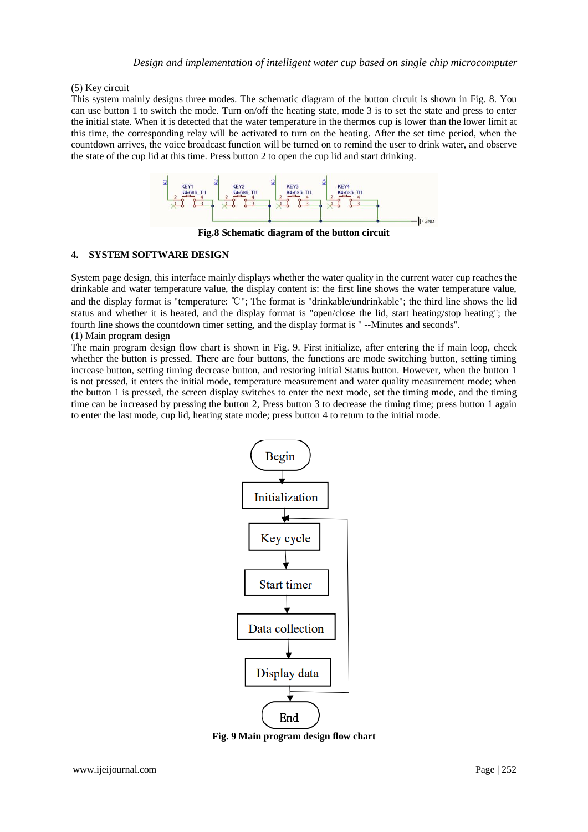# (5) Key circuit

This system mainly designs three modes. The schematic diagram of the button circuit is shown in Fig. 8. You can use button 1 to switch the mode. Turn on/off the heating state, mode 3 is to set the state and press to enter the initial state. When it is detected that the water temperature in the thermos cup is lower than the lower limit at this time, the corresponding relay will be activated to turn on the heating. After the set time period, when the countdown arrives, the voice broadcast function will be turned on to remind the user to drink water, and observe the state of the cup lid at this time. Press button 2 to open the cup lid and start drinking.



**Fig.8 Schematic diagram of the button circuit**

# **4. SYSTEM SOFTWARE DESIGN**

System page design, this interface mainly displays whether the water quality in the current water cup reaches the drinkable and water temperature value, the display content is: the first line shows the water temperature value, and the display format is "temperature: ℃"; The format is "drinkable/undrinkable"; the third line shows the lid status and whether it is heated, and the display format is "open/close the lid, start heating/stop heating"; the fourth line shows the countdown timer setting, and the display format is " --Minutes and seconds". (1) Main program design

The main program design flow chart is shown in Fig. 9. First initialize, after entering the if main loop, check whether the button is pressed. There are four buttons, the functions are mode switching button, setting timing increase button, setting timing decrease button, and restoring initial Status button. However, when the button 1 is not pressed, it enters the initial mode, temperature measurement and water quality measurement mode; when the button 1 is pressed, the screen display switches to enter the next mode, set the timing mode, and the timing time can be increased by pressing the button 2, Press button 3 to decrease the timing time; press button 1 again to enter the last mode, cup lid, heating state mode; press button 4 to return to the initial mode.



**Fig. 9 Main program design flow chart**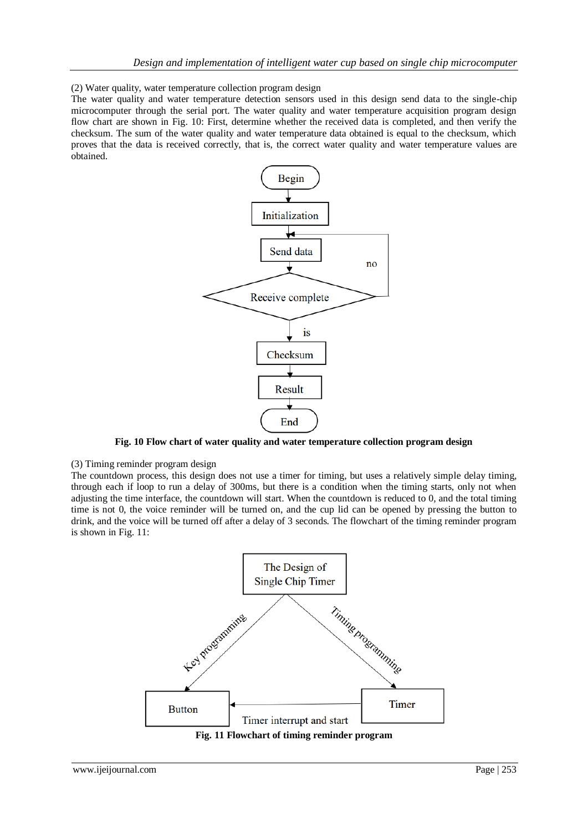(2) Water quality, water temperature collection program design

The water quality and water temperature detection sensors used in this design send data to the single-chip microcomputer through the serial port. The water quality and water temperature acquisition program design flow chart are shown in Fig. 10: First, determine whether the received data is completed, and then verify the checksum. The sum of the water quality and water temperature data obtained is equal to the checksum, which proves that the data is received correctly, that is, the correct water quality and water temperature values are obtained.



**Fig. 10 Flow chart of water quality and water temperature collection program design**

(3) Timing reminder program design

The countdown process, this design does not use a timer for timing, but uses a relatively simple delay timing, through each if loop to run a delay of 300ms, but there is a condition when the timing starts, only not when adjusting the time interface, the countdown will start. When the countdown is reduced to 0, and the total timing time is not 0, the voice reminder will be turned on, and the cup lid can be opened by pressing the button to drink, and the voice will be turned off after a delay of 3 seconds. The flowchart of the timing reminder program is shown in Fig. 11:



**Fig. 11 Flowchart of timing reminder program**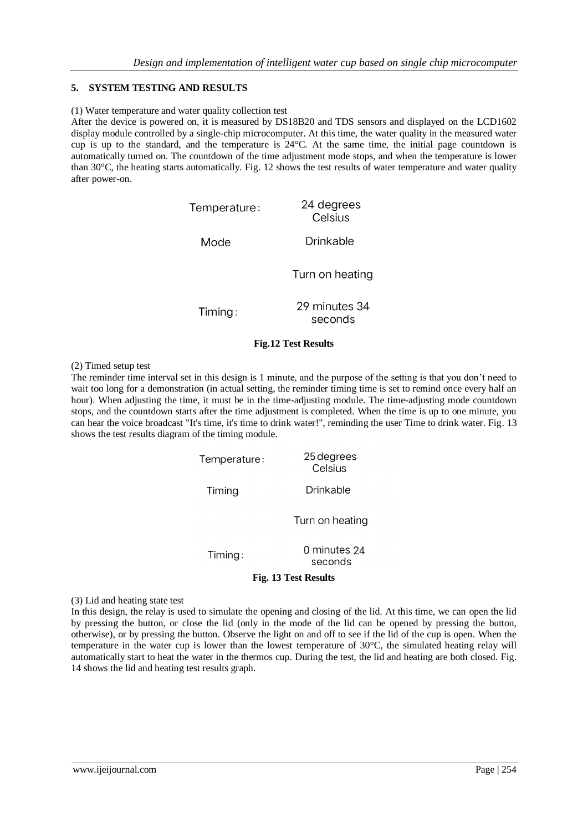# **5. SYSTEM TESTING AND RESULTS**

#### (1) Water temperature and water quality collection test

After the device is powered on, it is measured by DS18B20 and TDS sensors and displayed on the LCD1602 display module controlled by a single-chip microcomputer. At this time, the water quality in the measured water cup is up to the standard, and the temperature is 24°C. At the same time, the initial page countdown is automatically turned on. The countdown of the time adjustment mode stops, and when the temperature is lower than 30°C, the heating starts automatically. Fig. 12 shows the test results of water temperature and water quality after power-on.

| Temperature: | 24 degrees<br>Celsius    |
|--------------|--------------------------|
| Mode         | Drinkable                |
|              | Turn on heating          |
| Timing:      | 29 minutes 34<br>seconds |

#### **Fig.12 Test Results**

#### (2) Timed setup test

The reminder time interval set in this design is 1 minute, and the purpose of the setting is that you don't need to wait too long for a demonstration (in actual setting, the reminder timing time is set to remind once every half an hour). When adjusting the time, it must be in the time-adjusting module. The time-adjusting mode countdown stops, and the countdown starts after the time adjustment is completed. When the time is up to one minute, you can hear the voice broadcast "It's time, it's time to drink water!", reminding the user Time to drink water. Fig. 13 shows the test results diagram of the timing module.

| Temperature: | 25 degrees<br>Celsius   |
|--------------|-------------------------|
| Timing       | Drinkable               |
|              | Turn on heating         |
| Timing:      | 0 minutes 24<br>seconds |

#### **Fig. 13 Test Results**

(3) Lid and heating state test

In this design, the relay is used to simulate the opening and closing of the lid. At this time, we can open the lid by pressing the button, or close the lid (only in the mode of the lid can be opened by pressing the button, otherwise), or by pressing the button. Observe the light on and off to see if the lid of the cup is open. When the temperature in the water cup is lower than the lowest temperature of 30°C, the simulated heating relay will automatically start to heat the water in the thermos cup. During the test, the lid and heating are both closed. Fig. 14 shows the lid and heating test results graph.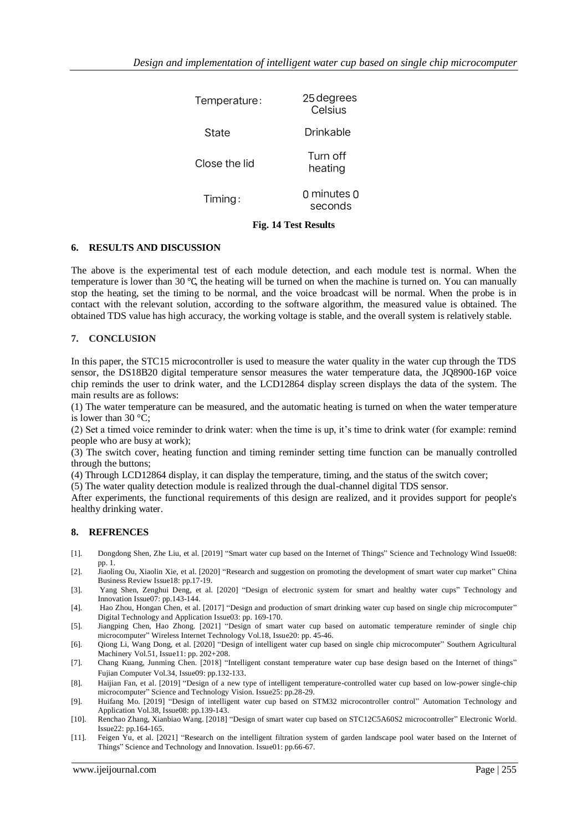| Temperature:  | 25 degrees<br>Celsius  |
|---------------|------------------------|
| State         | Drinkable              |
| Close the lid | Turn off<br>heating    |
| Timing:       | 0 minutes 0<br>seconds |

# **Fig. 14 Test Results**

## **6. RESULTS AND DISCUSSION**

The above is the experimental test of each module detection, and each module test is normal. When the temperature is lower than 30 ℃, the heating will be turned on when the machine is turned on. You can manually stop the heating, set the timing to be normal, and the voice broadcast will be normal. When the probe is in contact with the relevant solution, according to the software algorithm, the measured value is obtained. The obtained TDS value has high accuracy, the working voltage is stable, and the overall system is relatively stable.

#### **7. CONCLUSION**

In this paper, the STC15 microcontroller is used to measure the water quality in the water cup through the TDS sensor, the DS18B20 digital temperature sensor measures the water temperature data, the JQ8900-16P voice chip reminds the user to drink water, and the LCD12864 display screen displays the data of the system. The main results are as follows:

(1) The water temperature can be measured, and the automatic heating is turned on when the water temperature is lower than  $30^{\circ}$ C:

(2) Set a timed voice reminder to drink water: when the time is up, it's time to drink water (for example: remind people who are busy at work);

(3) The switch cover, heating function and timing reminder setting time function can be manually controlled through the buttons;

(4) Through LCD12864 display, it can display the temperature, timing, and the status of the switch cover;

(5) The water quality detection module is realized through the dual-channel digital TDS sensor.

After experiments, the functional requirements of this design are realized, and it provides support for people's healthy drinking water.

# **8. REFRENCES**

- [1]. Dongdong Shen, Zhe Liu, et al. [2019] "Smart water cup based on the Internet of Things" Science and Technology Wind Issue08: pp. 1.
- [2]. Jiaoling Ou, Xiaolin Xie, et al. [2020] "Research and suggestion on promoting the development of smart water cup market" China Business Review Issue18: pp.17-19.
- [3]. Yang Shen, Zenghui Deng, et al. [2020] "Design of electronic system for smart and healthy water cups" Technology and Innovation Issue07: pp.143-144.
- [4]. Hao Zhou, Hongan Chen, et al. [2017] "Design and production of smart drinking water cup based on single chip microcomputer" Digital Technology and Application Issue03: pp. 169-170.
- [5]. Jiangping Chen, Hao Zhong. [2021] "Design of smart water cup based on automatic temperature reminder of single chip microcomputer" Wireless Internet Technology Vol.18, Issue20: pp. 45-46.
- [6]. Qiong Li, Wang Dong, et al. [2020] "Design of intelligent water cup based on single chip microcomputer" Southern Agricultural Machinery Vol.51, Issue11: pp. 202+208.
- [7]. Chang Kuang, Junming Chen. [2018] "Intelligent constant temperature water cup base design based on the Internet of things" Fujian Computer Vol.34, Issue09: pp.132-133.
- [8]. Haijian Fan, et al. [2019] "Design of a new type of intelligent temperature-controlled water cup based on low-power single-chip microcomputer" Science and Technology Vision. Issue25: pp.28-29.
- [9]. Huifang Mo. [2019] "Design of intelligent water cup based on STM32 microcontroller control" Automation Technology and Application Vol.38, Issue08: pp.139-143.
- [10]. Renchao Zhang, Xianbiao Wang. [2018] "Design of smart water cup based on STC12C5A60S2 microcontroller" Electronic World. Issue22: pp.164-165.
- [11]. Feigen Yu, et al. [2021] "Research on the intelligent filtration system of garden landscape pool water based on the Internet of Things" Science and Technology and Innovation. Issue01: pp.66-67.